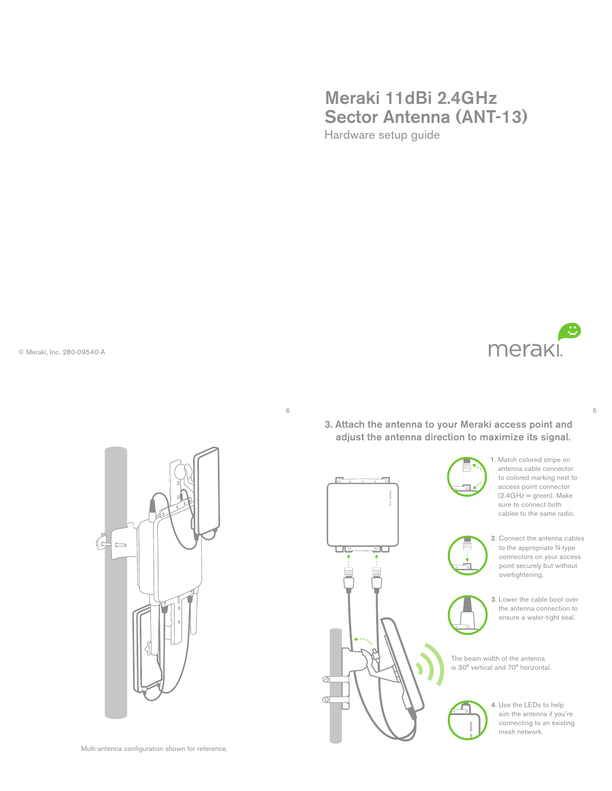# Meraki 11dBi 2.4GHz Sector Antenna (ANT-13) Hardware setup guide

© Meraki, Inc. 280-09540-A





6

3. Attach the antenna to your Meraki access point and adjust the antenna direction to maximize its signal.







2. Connect the antenna cables to the appropriate N-type connectors on your access point securely but without overtightening.



3. Lower the cable boot over the antenna connection to ensure a water-tight seal.

The beam width of the antenna is 30° vertical and 70° horizontal.



4. Use the LEDs to help aim the antenna if you're connecting to an existing mesh network.